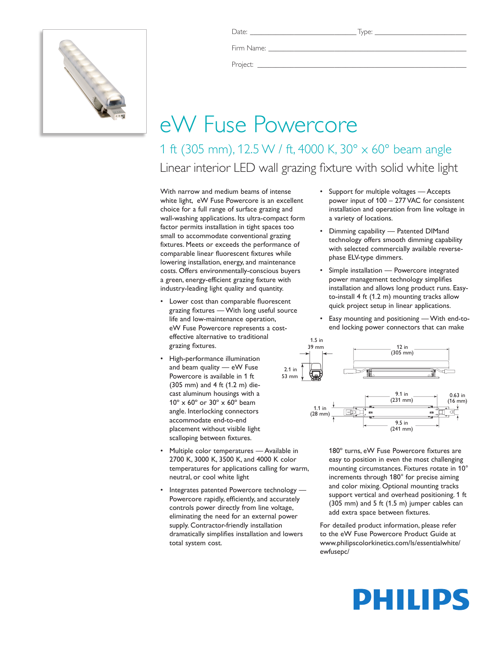

Firm Name:

Project: \_\_\_\_\_\_\_\_\_\_\_\_\_\_\_\_\_\_\_\_\_\_\_\_\_\_\_\_\_\_\_\_\_\_\_\_\_\_\_\_\_\_\_\_\_\_\_\_\_\_\_\_\_\_\_\_\_

# eW Fuse Powercore

1 ft (305 mm), 12.5 W / ft, 4000 K, 30° x 60° beam angle Linear interior LED wall grazing fixture with solid white light

With narrow and medium beams of intense white light, eW Fuse Powercore is an excellent choice for a full range of surface grazing and wall-washing applications. Its ultra-compact form factor permits installation in tight spaces too small to accommodate conventional grazing fixtures. Meets or exceeds the performance of comparable linear fluorescent fixtures while lowering installation, energy, and maintenance costs. Offers environmentally-conscious buyers a green, energy-efficient grazing fixture with industry-leading light quality and quantity.

- • Lower cost than comparable fluorescent grazing fixtures — With long useful source life and low-maintenance operation, eW Fuse Powercore represents a costeffective alternative to traditional grazing fixtures.
- • High-performance illumination and beam quality — eW Fuse Powercore is available in 1 ft (305 mm) and 4 ft (1.2 m) diecast aluminum housings with a 10º x 60º or 30º x 60º beam angle. Interlocking connectors accommodate end-to-end placement without visible light scalloping between fixtures.
- Multiple color temperatures Available in 2700 K, 3000 K, 3500 K, and 4000 K color temperatures for applications calling for warm, neutral, or cool white light
- Integrates patented Powercore technology Powercore rapidly, efficiently, and accurately controls power directly from line voltage, eliminating the need for an external power supply. Contractor-friendly installation dramatically simplifies installation and lowers total system cost.
- • Support for multiple voltages Accepts power input of 100 – 277 VAC for consistent installation and operation from line voltage in a variety of locations.
- • Dimming capability Patented DIMand technology offers smooth dimming capability with selected commercially available reversephase ELV-type dimmers.
- Simple installation Powercore integrated power management technology simplifies installation and allows long product runs. Easyto-install 4 ft (1.2 m) mounting tracks allow quick project setup in linear applications.
- Easy mounting and positioning With end-toend locking power connectors that can make



180º turns, eW Fuse Powercore fixtures are easy to position in even the most challenging mounting circumstances. Fixtures rotate in 10° increments through 180° for precise aiming and color mixing. Optional mounting tracks support vertical and overhead positioning. 1 ft (305 mm) and 5 ft (1.5 m) jumper cables can add extra space between fixtures.

For detailed product information, please refer to the eW Fuse Powercore Product Guide at www.philipscolorkinetics.com/ls/essentialwhite/ ewfusepc/

# PHILIPS